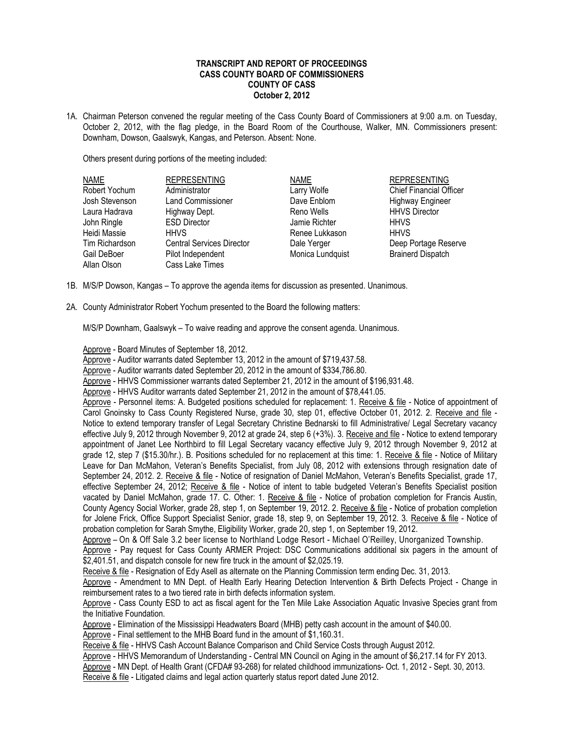## **TRANSCRIPT AND REPORT OF PROCEEDINGS CASS COUNTY BOARD OF COMMISSIONERS COUNTY OF CASS October 2, 2012**

1A. Chairman Peterson convened the regular meeting of the Cass County Board of Commissioners at 9:00 a.m. on Tuesday, October 2, 2012, with the flag pledge, in the Board Room of the Courthouse, Walker, MN. Commissioners present: Downham, Dowson, Gaalswyk, Kangas, and Peterson. Absent: None.

Others present during portions of the meeting included:

| <b>NAME</b>    | <b>REPRESENTING</b>              | <b>NAME</b>      | <b>REPRESENTING</b>      |
|----------------|----------------------------------|------------------|--------------------------|
| Robert Yochum  | Administrator                    | Larry Wolfe      | Chief Financial Officer  |
| Josh Stevenson | <b>Land Commissioner</b>         | Dave Enblom      | <b>Highway Engineer</b>  |
| Laura Hadrava  | Highway Dept.                    | Reno Wells       | <b>HHVS Director</b>     |
| John Ringle    | <b>ESD Director</b>              | Jamie Richter    | <b>HHVS</b>              |
| Heidi Massie   | <b>HHVS</b>                      | Renee Lukkason   | <b>HHVS</b>              |
| Tim Richardson | <b>Central Services Director</b> | Dale Yerger      | Deep Portage Reserve     |
| Gail DeBoer    | Pilot Independent                | Monica Lundquist | <b>Brainerd Dispatch</b> |
| Allan Olson    | Cass Lake Times                  |                  |                          |

- 1B. M/S/P Dowson, Kangas To approve the agenda items for discussion as presented. Unanimous.
- 2A. County Administrator Robert Yochum presented to the Board the following matters:

M/S/P Downham, Gaalswyk – To waive reading and approve the consent agenda. Unanimous.

Approve - Board Minutes of September 18, 2012.

Approve - Auditor warrants dated September 13, 2012 in the amount of \$719,437.58.

Approve - Auditor warrants dated September 20, 2012 in the amount of \$334,786.80.

Approve - HHVS Commissioner warrants dated September 21, 2012 in the amount of \$196,931.48.

Approve - HHVS Auditor warrants dated September 21, 2012 in the amount of \$78,441.05.

Approve - Personnel items: A. Budgeted positions scheduled for replacement: 1. Receive & file - Notice of appointment of Carol Gnoinsky to Cass County Registered Nurse, grade 30, step 01, effective October 01, 2012. 2. Receive and file - Notice to extend temporary transfer of Legal Secretary Christine Bednarski to fill Administrative/ Legal Secretary vacancy effective July 9, 2012 through November 9, 2012 at grade 24, step 6 (+3%). 3. Receive and file - Notice to extend temporary appointment of Janet Lee Northbird to fill Legal Secretary vacancy effective July 9, 2012 through November 9, 2012 at grade 12, step 7 (\$15.30/hr.). B. Positions scheduled for no replacement at this time: 1. Receive & file - Notice of Military Leave for Dan McMahon, Veteran's Benefits Specialist, from July 08, 2012 with extensions through resignation date of September 24, 2012. 2. Receive & file - Notice of resignation of Daniel McMahon, Veteran's Benefits Specialist, grade 17, effective September 24, 2012; Receive & file - Notice of intent to table budgeted Veteran's Benefits Specialist position vacated by Daniel McMahon, grade 17. C. Other: 1. Receive & file - Notice of probation completion for Francis Austin, County Agency Social Worker, grade 28, step 1, on September 19, 2012. 2. Receive & file - Notice of probation completion for Jolene Frick, Office Support Specialist Senior, grade 18, step 9, on September 19, 2012. 3. Receive & file - Notice of probation completion for Sarah Smythe, Eligibility Worker, grade 20, step 1, on September 19, 2012.

Approve – On & Off Sale 3.2 beer license to Northland Lodge Resort - Michael O'Reilley, Unorganized Township.

Approve - Pay request for Cass County ARMER Project: DSC Communications additional six pagers in the amount of \$2,401.51, and dispatch console for new fire truck in the amount of \$2,025.19.

Receive & file - Resignation of Edy Asell as alternate on the Planning Commission term ending Dec. 31, 2013.

Approve - Amendment to MN Dept. of Health Early Hearing Detection Intervention & Birth Defects Project - Change in reimbursement rates to a two tiered rate in birth defects information system.

Approve - Cass County ESD to act as fiscal agent for the Ten Mile Lake Association Aquatic Invasive Species grant from the Initiative Foundation.

Approve - Elimination of the Mississippi Headwaters Board (MHB) petty cash account in the amount of \$40.00.

Approve - Final settlement to the MHB Board fund in the amount of \$1,160.31.

Receive & file - HHVS Cash Account Balance Comparison and Child Service Costs through August 2012.

Approve - HHVS Memorandum of Understanding - Central MN Council on Aging in the amount of \$6,217.14 for FY 2013.

Approve - MN Dept. of Health Grant (CFDA# 93-268) for related childhood immunizations- Oct. 1, 2012 - Sept. 30, 2013. Receive & file - Litigated claims and legal action quarterly status report dated June 2012.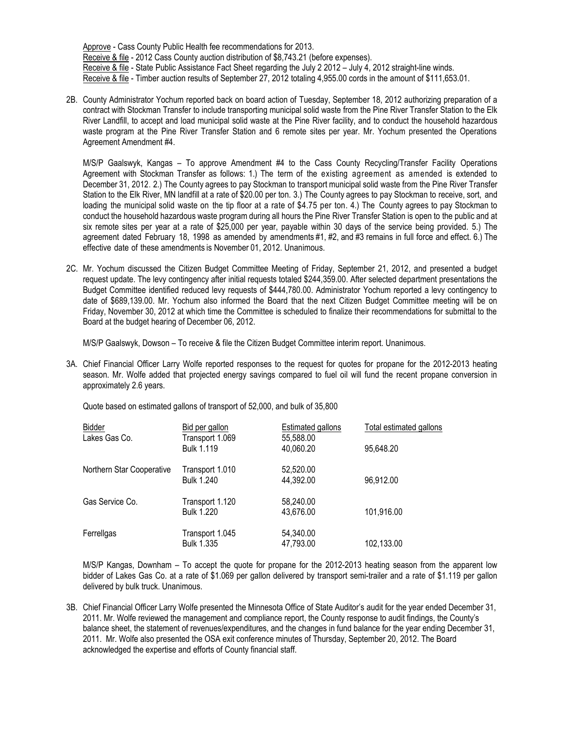Approve - Cass County Public Health fee recommendations for 2013. Receive & file - 2012 Cass County auction distribution of \$8,743.21 (before expenses). Receive & file - State Public Assistance Fact Sheet regarding the July 2 2012 – July 4, 2012 straight-line winds. Receive & file - Timber auction results of September 27, 2012 totaling 4,955.00 cords in the amount of \$111,653.01.

2B. County Administrator Yochum reported back on board action of Tuesday, September 18, 2012 authorizing preparation of a contract with Stockman Transfer to include transporting municipal solid waste from the Pine River Transfer Station to the Elk River Landfill, to accept and load municipal solid waste at the Pine River facility, and to conduct the household hazardous waste program at the Pine River Transfer Station and 6 remote sites per year. Mr. Yochum presented the Operations Agreement Amendment #4.

M/S/P Gaalswyk, Kangas – To approve Amendment #4 to the Cass County Recycling/Transfer Facility Operations Agreement with Stockman Transfer as follows: 1.) The term of the existing agreement as amended is extended to December 31, 2012. 2.) The County agrees to pay Stockman to transport municipal solid waste from the Pine River Transfer Station to the Elk River, MN landfill at a rate of \$20.00 per ton. 3.) The County agrees to pay Stockman to receive, sort, and loading the municipal solid waste on the tip floor at a rate of \$4.75 per ton. 4.) The County agrees to pay Stockman to conduct the household hazardous waste program during all hours the Pine River Transfer Station is open to the public and at six remote sites per year at a rate of \$25,000 per year, payable within 30 days of the service being provided. 5.) The agreement dated February 18, 1998 as amended by amendments #1, #2, and #3 remains in full force and effect. 6.) The effective date of these amendments is November 01, 2012. Unanimous.

2C. Mr. Yochum discussed the Citizen Budget Committee Meeting of Friday, September 21, 2012, and presented a budget request update. The levy contingency after initial requests totaled \$244,359.00. After selected department presentations the Budget Committee identified reduced levy requests of \$444,780.00. Administrator Yochum reported a levy contingency to date of \$689,139.00. Mr. Yochum also informed the Board that the next Citizen Budget Committee meeting will be on Friday, November 30, 2012 at which time the Committee is scheduled to finalize their recommendations for submittal to the Board at the budget hearing of December 06, 2012.

M/S/P Gaalswyk, Dowson – To receive & file the Citizen Budget Committee interim report. Unanimous.

3A. Chief Financial Officer Larry Wolfe reported responses to the request for quotes for propane for the 2012-2013 heating season. Mr. Wolfe added that projected energy savings compared to fuel oil will fund the recent propane conversion in approximately 2.6 years.

Quote based on estimated gallons of transport of 52,000, and bulk of 35,800

| Bidder                    | Bid per gallon                       | <b>Estimated gallons</b> | Total estimated gallons |
|---------------------------|--------------------------------------|--------------------------|-------------------------|
| Lakes Gas Co.             | Transport 1.069<br><b>Bulk 1.119</b> | 55,588.00<br>40,060.20   | 95,648.20               |
| Northern Star Cooperative | Transport 1.010<br><b>Bulk 1.240</b> | 52,520.00<br>44,392.00   | 96,912.00               |
| Gas Service Co.           | Transport 1.120<br><b>Bulk 1.220</b> | 58,240.00<br>43,676.00   | 101,916.00              |
| Ferrellgas                | Transport 1.045<br><b>Bulk 1.335</b> | 54,340.00<br>47,793.00   | 102,133.00              |

M/S/P Kangas, Downham – To accept the quote for propane for the 2012-2013 heating season from the apparent low bidder of Lakes Gas Co. at a rate of \$1.069 per gallon delivered by transport semi-trailer and a rate of \$1.119 per gallon delivered by bulk truck. Unanimous.

3B. Chief Financial Officer Larry Wolfe presented the Minnesota Office of State Auditor's audit for the year ended December 31, 2011. Mr. Wolfe reviewed the management and compliance report, the County response to audit findings, the County's balance sheet, the statement of revenues/expenditures, and the changes in fund balance for the year ending December 31, 2011. Mr. Wolfe also presented the OSA exit conference minutes of Thursday, September 20, 2012. The Board acknowledged the expertise and efforts of County financial staff.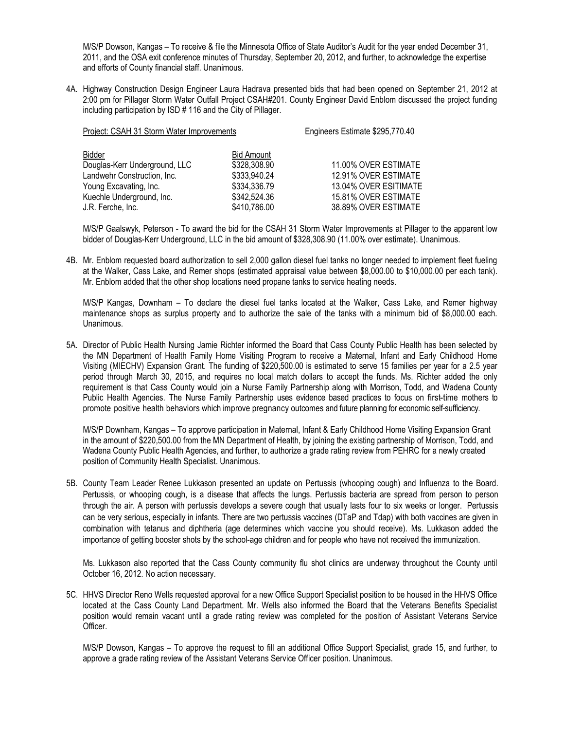M/S/P Dowson, Kangas – To receive & file the Minnesota Office of State Auditor's Audit for the year ended December 31, 2011, and the OSA exit conference minutes of Thursday, September 20, 2012, and further, to acknowledge the expertise and efforts of County financial staff. Unanimous.

4A. Highway Construction Design Engineer Laura Hadrava presented bids that had been opened on September 21, 2012 at 2:00 pm for Pillager Storm Water Outfall Project CSAH#201. County Engineer David Enblom discussed the project funding including participation by ISD # 116 and the City of Pillager.

| Project: CSAH 31 Storm Water Improvements | Engineers Estimate \$295,770.40 |                       |
|-------------------------------------------|---------------------------------|-----------------------|
| Bidder                                    | <b>Bid Amount</b>               |                       |
| Douglas-Kerr Underground, LLC             | \$328,308.90                    | 11.00% OVER ESTIMATE  |
| Landwehr Construction, Inc.               | \$333,940.24                    | 12.91% OVER ESTIMATE  |
| Young Excavating, Inc.                    | \$334,336.79                    | 13.04% OVER ESITIMATE |
| Kuechle Underground, Inc.                 | \$342,524.36                    | 15.81% OVER ESTIMATE  |
| J.R. Ferche, Inc.                         | \$410,786.00                    | 38.89% OVER ESTIMATE  |

M/S/P Gaalswyk, Peterson - To award the bid for the CSAH 31 Storm Water Improvements at Pillager to the apparent low bidder of Douglas-Kerr Underground, LLC in the bid amount of \$328,308.90 (11.00% over estimate). Unanimous.

4B. Mr. Enblom requested board authorization to sell 2,000 gallon diesel fuel tanks no longer needed to implement fleet fueling at the Walker, Cass Lake, and Remer shops (estimated appraisal value between \$8,000.00 to \$10,000.00 per each tank). Mr. Enblom added that the other shop locations need propane tanks to service heating needs.

M/S/P Kangas, Downham – To declare the diesel fuel tanks located at the Walker, Cass Lake, and Remer highway maintenance shops as surplus property and to authorize the sale of the tanks with a minimum bid of \$8,000.00 each. Unanimous.

5A. Director of Public Health Nursing Jamie Richter informed the Board that Cass County Public Health has been selected by the MN Department of Health Family Home Visiting Program to receive a Maternal, Infant and Early Childhood Home Visiting (MIECHV) Expansion Grant. The funding of \$220,500.00 is estimated to serve 15 families per year for a 2.5 year period through March 30, 2015, and requires no local match dollars to accept the funds. Ms. Richter added the only requirement is that Cass County would join a Nurse Family Partnership along with Morrison, Todd, and Wadena County Public Health Agencies. The Nurse Family Partnership uses evidence based practices to focus on first-time mothers to promote positive health behaviors which improve pregnancy outcomes and future planning for economic self-sufficiency.

M/S/P Downham, Kangas – To approve participation in Maternal, Infant & Early Childhood Home Visiting Expansion Grant in the amount of \$220,500.00 from the MN Department of Health, by joining the existing partnership of Morrison, Todd, and Wadena County Public Health Agencies, and further, to authorize a grade rating review from PEHRC for a newly created position of Community Health Specialist. Unanimous.

5B. County Team Leader Renee Lukkason presented an update on Pertussis (whooping cough) and Influenza to the Board. Pertussis, or whooping cough, is a disease that affects the lungs. Pertussis bacteria are spread from person to person through the air. A person with pertussis develops a severe cough that usually lasts four to six weeks or longer. Pertussis can be very serious, especially in infants. There are two pertussis vaccines (DTaP and Tdap) with both vaccines are given in combination with tetanus and diphtheria (age determines which vaccine you should receive). Ms. Lukkason added the importance of getting booster shots by the school-age children and for people who have not received the immunization.

Ms. Lukkason also reported that the Cass County community flu shot clinics are underway throughout the County until October 16, 2012. No action necessary.

5C. HHVS Director Reno Wells requested approval for a new Office Support Specialist position to be housed in the HHVS Office located at the Cass County Land Department. Mr. Wells also informed the Board that the Veterans Benefits Specialist position would remain vacant until a grade rating review was completed for the position of Assistant Veterans Service Officer.

M/S/P Dowson, Kangas – To approve the request to fill an additional Office Support Specialist, grade 15, and further, to approve a grade rating review of the Assistant Veterans Service Officer position. Unanimous.